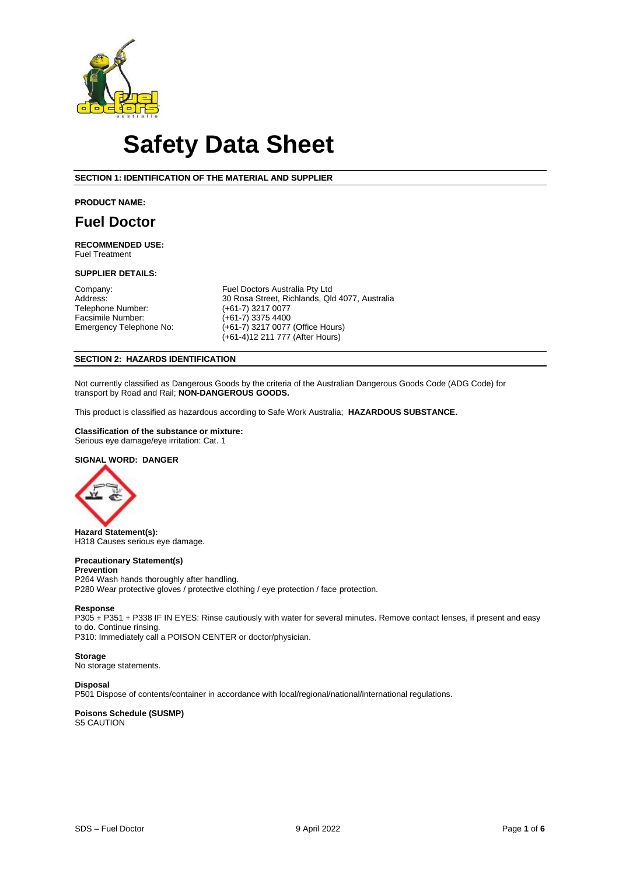

# **Safety Data Sheet**

### **SECTION 1: IDENTIFICATION OF THE MATERIAL AND SUPPLIER**

#### **PRODUCT NAME:**

# **Fuel Doctor**

**RECOMMENDED USE:**  Fuel Treatment

#### **SUPPLIER DETAILS:**

Telephone Number: (+61-7) 3217 0077<br>
Facsimile Number: (+61-7) 3375 4400 Facsimile Number:<br>Emergency Telephone No:

Company: Fuel Doctors Australia Pty Ltd<br>
Address: 30 Rosa Street, Richlands, Ql 30 Rosa Street, Richlands, Qld 4077, Australia (+61-7) 3217 0077  $(+61-7)$  3217 0077 (Office Hours) (+61-4)12 211 777 (After Hours)

# **SECTION 2: HAZARDS IDENTIFICATION**

Not currently classified as Dangerous Goods by the criteria of the Australian Dangerous Goods Code (ADG Code) for transport by Road and Rail; **NON-DANGEROUS GOODS.**

This product is classified as hazardous according to Safe Work Australia; **HAZARDOUS SUBSTANCE.**

# **Classification of the substance or mixture:**

Serious eye damage/eye irritation: Cat. 1

# **SIGNAL WORD: DANGER**



**Hazard Statement(s):** H318 Causes serious eye damage.

# **Precautionary Statement(s)**

**Prevention** P264 Wash hands thoroughly after handling. P280 Wear protective gloves / protective clothing / eye protection / face protection.

#### **Response**

P305 + P351 + P338 IF IN EYES: Rinse cautiously with water for several minutes. Remove contact lenses, if present and easy to do. Continue rinsing. P310: Immediately call a POISON CENTER or doctor/physician.

#### **Storage**

No storage statements.

#### **Disposal**

P501 Dispose of contents/container in accordance with local/regional/national/international regulations.

**Poisons Schedule (SUSMP)** S5 CAUTION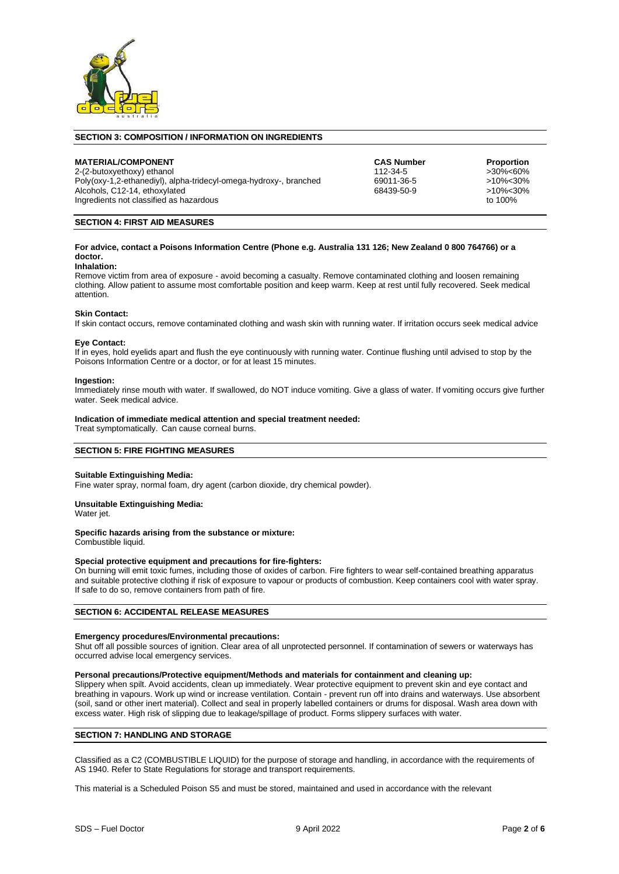

#### **SECTION 3: COMPOSITION / INFORMATION ON INGREDIENTS**

**MATERIAL/COMPONENT CAS Number Proportion** 2-(2-butoxyethoxy) ethanol between the development of the development of the state of the state of the state of the state of the Poly(oxy-1,2-ethanediyl), alpha-tridecyl-omega-hydroxy-, branched 69011-36-5  $\geq$  10%<30% Poly(oxy-1,2-ethanediyl), alpha-tridecyl-omega-hydroxy-, branched 69011-36-5 >10%<30% >10%<30%<br>Alcohols. C12-14. ethoxylated 68439-50-9 >10%<30% Alcohols, C12-14, ethoxylated 68439-50-9 >10%<3<br>
Indredients not classified as hazardous<br>
to 100% Ingredients not classified as hazardous

# **SECTION 4: FIRST AID MEASURES**

#### **For advice, contact a Poisons Information Centre (Phone e.g. Australia 131 126; New Zealand 0 800 764766) or a doctor.**

#### **Inhalation:**

Remove victim from area of exposure - avoid becoming a casualty. Remove contaminated clothing and loosen remaining clothing. Allow patient to assume most comfortable position and keep warm. Keep at rest until fully recovered. Seek medical attention.

#### **Skin Contact:**

If skin contact occurs, remove contaminated clothing and wash skin with running water. If irritation occurs seek medical advice

#### **Eye Contact:**

If in eyes, hold eyelids apart and flush the eye continuously with running water. Continue flushing until advised to stop by the Poisons Information Centre or a doctor, or for at least 15 minutes.

#### **Ingestion:**

Immediately rinse mouth with water. If swallowed, do NOT induce vomiting. Give a glass of water. If vomiting occurs give further water. Seek medical advice.

#### **Indication of immediate medical attention and special treatment needed:**

Treat symptomatically. Can cause corneal burns.

#### **SECTION 5: FIRE FIGHTING MEASURES**

#### **Suitable Extinguishing Media:**

Fine water spray, normal foam, dry agent (carbon dioxide, dry chemical powder).

#### **Unsuitable Extinguishing Media:**

Water jet.

#### **Specific hazards arising from the substance or mixture:**

Combustible liquid.

#### **Special protective equipment and precautions for fire-fighters:**

On burning will emit toxic fumes, including those of oxides of carbon. Fire fighters to wear self-contained breathing apparatus and suitable protective clothing if risk of exposure to vapour or products of combustion. Keep containers cool with water spray. If safe to do so, remove containers from path of fire.

#### **SECTION 6: ACCIDENTAL RELEASE MEASURES**

#### **Emergency procedures/Environmental precautions:**

Shut off all possible sources of ignition. Clear area of all unprotected personnel. If contamination of sewers or waterways has occurred advise local emergency services.

#### **Personal precautions/Protective equipment/Methods and materials for containment and cleaning up:**

Slippery when spilt. Avoid accidents, clean up immediately. Wear protective equipment to prevent skin and eye contact and breathing in vapours. Work up wind or increase ventilation. Contain - prevent run off into drains and waterways. Use absorbent (soil, sand or other inert material). Collect and seal in properly labelled containers or drums for disposal. Wash area down with excess water. High risk of slipping due to leakage/spillage of product. Forms slippery surfaces with water.

#### **SECTION 7: HANDLING AND STORAGE**

Classified as a C2 (COMBUSTIBLE LIQUID) for the purpose of storage and handling, in accordance with the requirements of AS 1940. Refer to State Regulations for storage and transport requirements.

This material is a Scheduled Poison S5 and must be stored, maintained and used in accordance with the relevant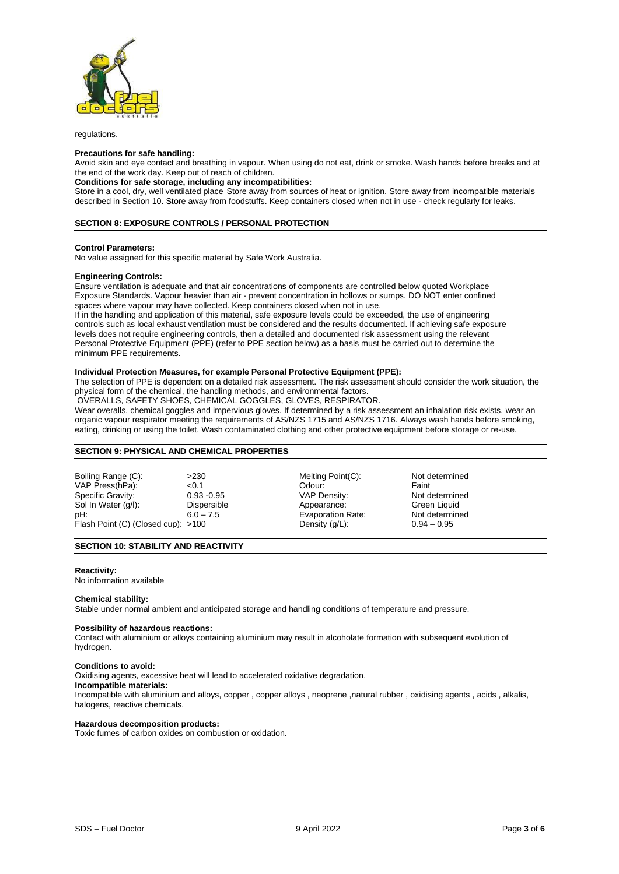

regulations.

#### **Precautions for safe handling:**

Avoid skin and eye contact and breathing in vapour. When using do not eat, drink or smoke. Wash hands before breaks and at the end of the work day. Keep out of reach of children.

## **Conditions for safe storage, including any incompatibilities:**

Store in a cool, dry, well ventilated place Store away from sources of heat or ignition. Store away from incompatible materials described in Section 10. Store away from foodstuffs. Keep containers closed when not in use - check regularly for leaks.

#### **SECTION 8: EXPOSURE CONTROLS / PERSONAL PROTECTION**

#### **Control Parameters:**

No value assigned for this specific material by Safe Work Australia.

#### **Engineering Controls:**

Ensure ventilation is adequate and that air concentrations of components are controlled below quoted Workplace Exposure Standards. Vapour heavier than air - prevent concentration in hollows or sumps. DO NOT enter confined spaces where vapour may have collected. Keep containers closed when not in use.

If in the handling and application of this material, safe exposure levels could be exceeded, the use of engineering controls such as local exhaust ventilation must be considered and the results documented. If achieving safe exposure levels does not require engineering controls, then a detailed and documented risk assessment using the relevant Personal Protective Equipment (PPE) (refer to PPE section below) as a basis must be carried out to determine the minimum PPE requirements.

#### **Individual Protection Measures, for example Personal Protective Equipment (PPE):**

The selection of PPE is dependent on a detailed risk assessment. The risk assessment should consider the work situation, the physical form of the chemical, the handling methods, and environmental factors.

OVERALLS, SAFETY SHOES, CHEMICAL GOGGLES, GLOVES, RESPIRATOR.

Wear overalls, chemical goggles and impervious gloves. If determined by a risk assessment an inhalation risk exists, wear an organic vapour respirator meeting the requirements of AS/NZS 1715 and AS/NZS 1716. Always wash hands before smoking, eating, drinking or using the toilet. Wash contaminated clothing and other protective equipment before storage or re-use.

### **SECTION 9: PHYSICAL AND CHEMICAL PROPERTIES**

Boiling Range (C):  $>230$  Melting Point(C): Not determined<br>VAP Press(hPa):  $< 0.1$  Odour: Faint VAP Press(hPa):  $\leq 0.1$   $\leq 0.93 - 0.95$  Odour: Faint Faint Faint Faint Conserved Conserved Conserved Conserved Conserved Conserved Conserved Conserved Conserved Conserved Conserved Conserved Conserved Conserved Conserve Specific Gravity: 0.93 -0.95 VAP Density: Not determined and the US of the US of the US of the US of the Not determine<br>
Sol In Water (g/l): Dispersible by Appearance: Green Liquid Sol In Water (g/l): Dispersible Appearance: Green Liquid pH: Green Liquid pH: Green Liquid pH: Flash Point (C) (Closed cup): >100

- Evaporation Rate: Not determined Not determined Not determined Not determined Not determined Not determined No<br>
0.94 0.95
- 

# **SECTION 10: STABILITY AND REACTIVITY**

#### **Reactivity:**

No information available

#### **Chemical stability:**

Stable under normal ambient and anticipated storage and handling conditions of temperature and pressure.

#### **Possibility of hazardous reactions:**

Contact with aluminium or alloys containing aluminium may result in alcoholate formation with subsequent evolution of hydrogen.

#### **Conditions to avoid:**

Oxidising agents, excessive heat will lead to accelerated oxidative degradation,

# **Incompatible materials:**

Incompatible with aluminium and alloys, copper , copper alloys , neoprene ,natural rubber , oxidising agents , acids , alkalis, halogens, reactive chemicals.

# **Hazardous decomposition products:**

Toxic fumes of carbon oxides on combustion or oxidation.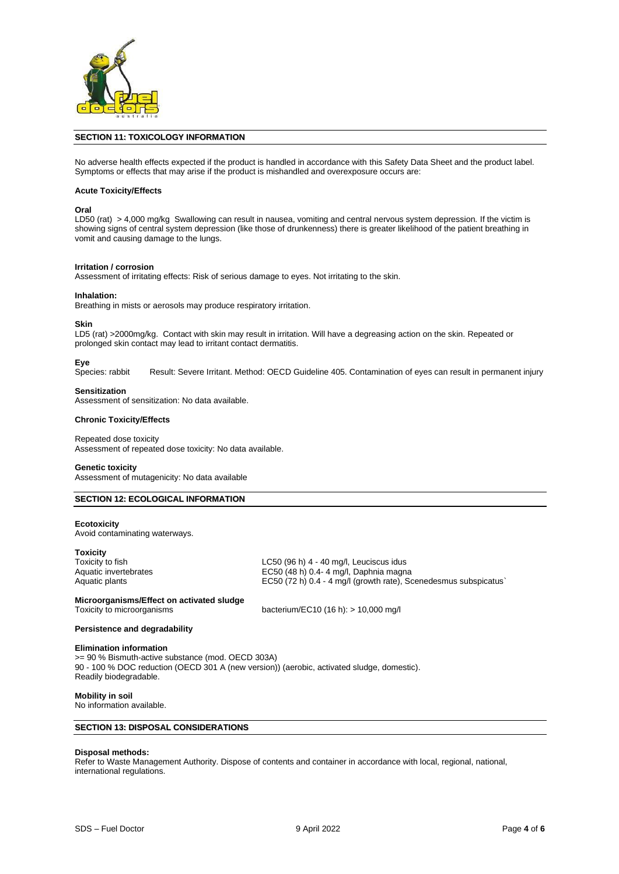

#### **SECTION 11: TOXICOLOGY INFORMATION**

No adverse health effects expected if the product is handled in accordance with this Safety Data Sheet and the product label. Symptoms or effects that may arise if the product is mishandled and overexposure occurs are:

#### **Acute Toxicity/Effects**

#### **Oral**

LD50 (rat) > 4,000 mg/kg Swallowing can result in nausea, vomiting and central nervous system depression. If the victim is showing signs of central system depression (like those of drunkenness) there is greater likelihood of the patient breathing in vomit and causing damage to the lungs.

#### **Irritation / corrosion**

Assessment of irritating effects: Risk of serious damage to eyes. Not irritating to the skin.

#### **Inhalation:**

Breathing in mists or aerosols may produce respiratory irritation.

#### **Skin**

LD5 (rat) >2000mg/kg. Contact with skin may result in irritation. Will have a degreasing action on the skin. Repeated or prolonged skin contact may lead to irritant contact dermatitis.

Eye<br>Species: rabbit Result: Severe Irritant. Method: OECD Guideline 405. Contamination of eyes can result in permanent injury

#### **Sensitization**

Assessment of sensitization: No data available.

#### **Chronic Toxicity/Effects**

Repeated dose toxicity Assessment of repeated dose toxicity: No data available.

#### **Genetic toxicity**

Assessment of mutagenicity: No data available

#### **SECTION 12: ECOLOGICAL INFORMATION**

#### **Ecotoxicity**

Avoid contaminating waterways.

**Toxicity**<br>Toxicity to fish

Toxicity to fish distribution of the total control of the LC50 (96 h) 4 - 40 mg/l, Leuciscus idus<br>
EC50 (48 h) 0.4-4 mg/l, Daphnia magnetic invertebrates EC50 (48 h) 0.4- 4 mg/l, Daphnia magna Aquatic plants **EC50** (72 h) 0.4 - 4 mg/l (growth rate), Scenedesmus subspicatus`

#### **Microorganisms/Effect on activated sludge**

Toxicity to microorganisms bacterium/EC10 (16 h): > 10,000 mg/l

#### **Persistence and degradability**

#### **Elimination information**

>= 90 % Bismuth-active substance (mod. OECD 303A) 90 - 100 % DOC reduction (OECD 301 A (new version)) (aerobic, activated sludge, domestic). Readily biodegradable.

#### **Mobility in soil**

No information available.

#### **SECTION 13: DISPOSAL CONSIDERATIONS**

#### **Disposal methods:**

Refer to Waste Management Authority. Dispose of contents and container in accordance with local, regional, national, international regulations.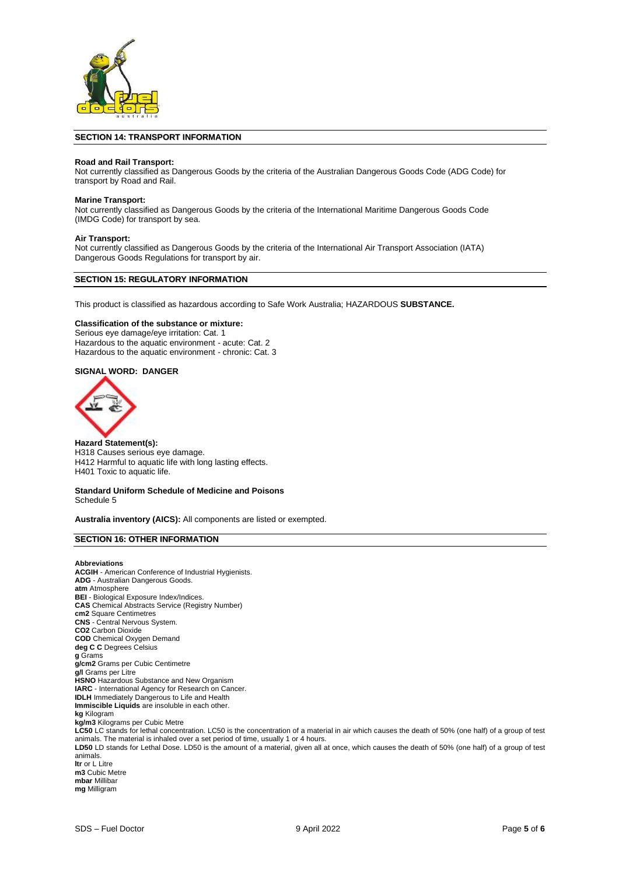

#### **SECTION 14: TRANSPORT INFORMATION**

#### **Road and Rail Transport:**

Not currently classified as Dangerous Goods by the criteria of the Australian Dangerous Goods Code (ADG Code) for transport by Road and Rail.

#### **Marine Transport:**

Not currently classified as Dangerous Goods by the criteria of the International Maritime Dangerous Goods Code (IMDG Code) for transport by sea.

#### **Air Transport:**

Not currently classified as Dangerous Goods by the criteria of the International Air Transport Association (IATA) Dangerous Goods Regulations for transport by air.

#### **SECTION 15: REGULATORY INFORMATION**

This product is classified as hazardous according to Safe Work Australia; HAZARDOUS **SUBSTANCE.**

#### **Classification of the substance or mixture:**

Serious eye damage/eye irritation: Cat. 1 Hazardous to the aquatic environment - acute: Cat. 2 Hazardous to the aquatic environment - chronic: Cat. 3

# **SIGNAL WORD: DANGER**



**Hazard Statement(s):** H318 Causes serious eye damage. H412 Harmful to aquatic life with long lasting effects. H401 Toxic to aquatic life.

#### **Standard Uniform Schedule of Medicine and Poisons** Schedule 5

**Australia inventory (AICS):** All components are listed or exempted.

# **SECTION 16: OTHER INFORMATION**

**Abbreviations ACGIH** - American Conference of Industrial Hygienists. **ADG** - Australian Dangerous Goods. **atm** Atmosphere **BEI** - Biological Exposure Index/Indices. **CAS** Chemical Abstracts Service (Registry Number) **cm2** Square Centimetres **CNS** - Central Nervous System. **CO2** Carbon Dioxide **COD** Chemical Oxygen Demand **deg C C** Degrees Celsius **g** Grams **g/cm2** Grams per Cubic Centimetre **g/l** Grams per Litre **HSNO** Hazardous Substance and New Organism **IARC** - International Agency for Research on Cancer. **IDLH** Immediately Dangerous to Life and Health **Immiscible Liquids** are insoluble in each other. **kg** Kilogram **kg/m3** Kilograms per Cubic Metre **LC50** LC stands for lethal concentration. LC50 is the concentration of a material in air which causes the death of 50% (one half) of a group of test animals. The material is inhaled over a set period of time, usually 1 or 4 hours. **LD50** LD stands for Lethal Dose. LD50 is the amount of a material, given all at once, which causes the death of 50% (one half) of a group of test animals. **ltr** or L Litre **m3** Cubic Metre **mbar** Millibar

**mg** Milligram